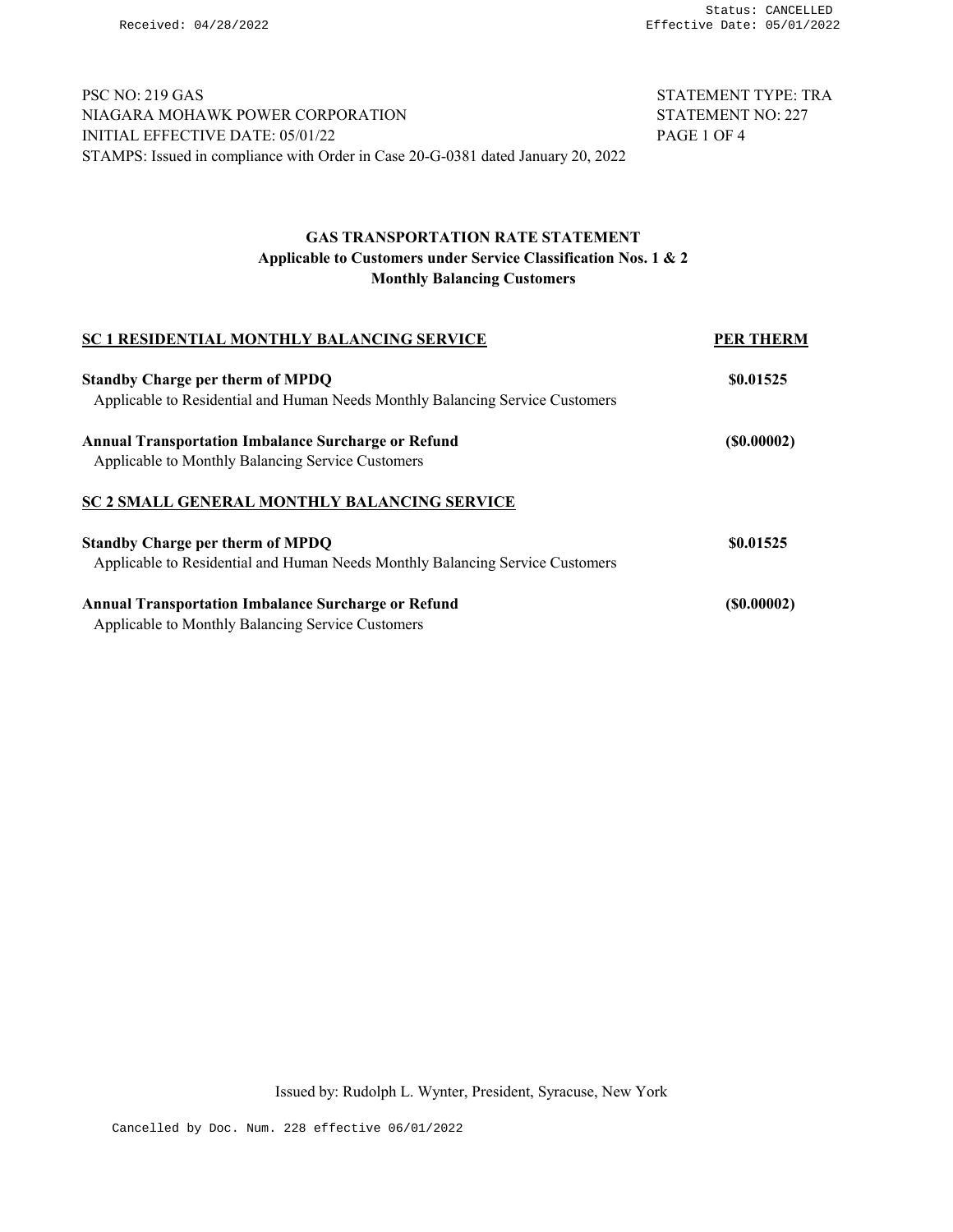PSC NO: 219 GAS STATEMENT TYPE: TRA NIAGARA MOHAWK POWER CORPORATION STATEMENT NO: 227 INITIAL EFFECTIVE DATE: 05/01/22 PAGE 1 OF 4 STAMPS: Issued in compliance with Order in Case 20-G-0381 dated January 20, 2022

## GAS TRANSPORTATION RATE STATEMENT Applicable to Customers under Service Classification Nos. 1 & 2 Monthly Balancing Customers

| <b>SC 1 RESIDENTIAL MONTHLY BALANCING SERVICE</b>                             | <b>PER THERM</b>  |
|-------------------------------------------------------------------------------|-------------------|
| <b>Standby Charge per therm of MPDQ</b>                                       | \$0.01525         |
| Applicable to Residential and Human Needs Monthly Balancing Service Customers |                   |
| <b>Annual Transportation Imbalance Surcharge or Refund</b>                    | (S0.00002)        |
| Applicable to Monthly Balancing Service Customers                             |                   |
| <b>SC 2 SMALL GENERAL MONTHLY BALANCING SERVICE</b>                           |                   |
| <b>Standby Charge per therm of MPDQ</b>                                       | \$0.01525         |
| Applicable to Residential and Human Needs Monthly Balancing Service Customers |                   |
| <b>Annual Transportation Imbalance Surcharge or Refund</b>                    | $($ \$0.00002 $)$ |
| Applicable to Monthly Balancing Service Customers                             |                   |

Issued by: Rudolph L. Wynter, President, Syracuse, New York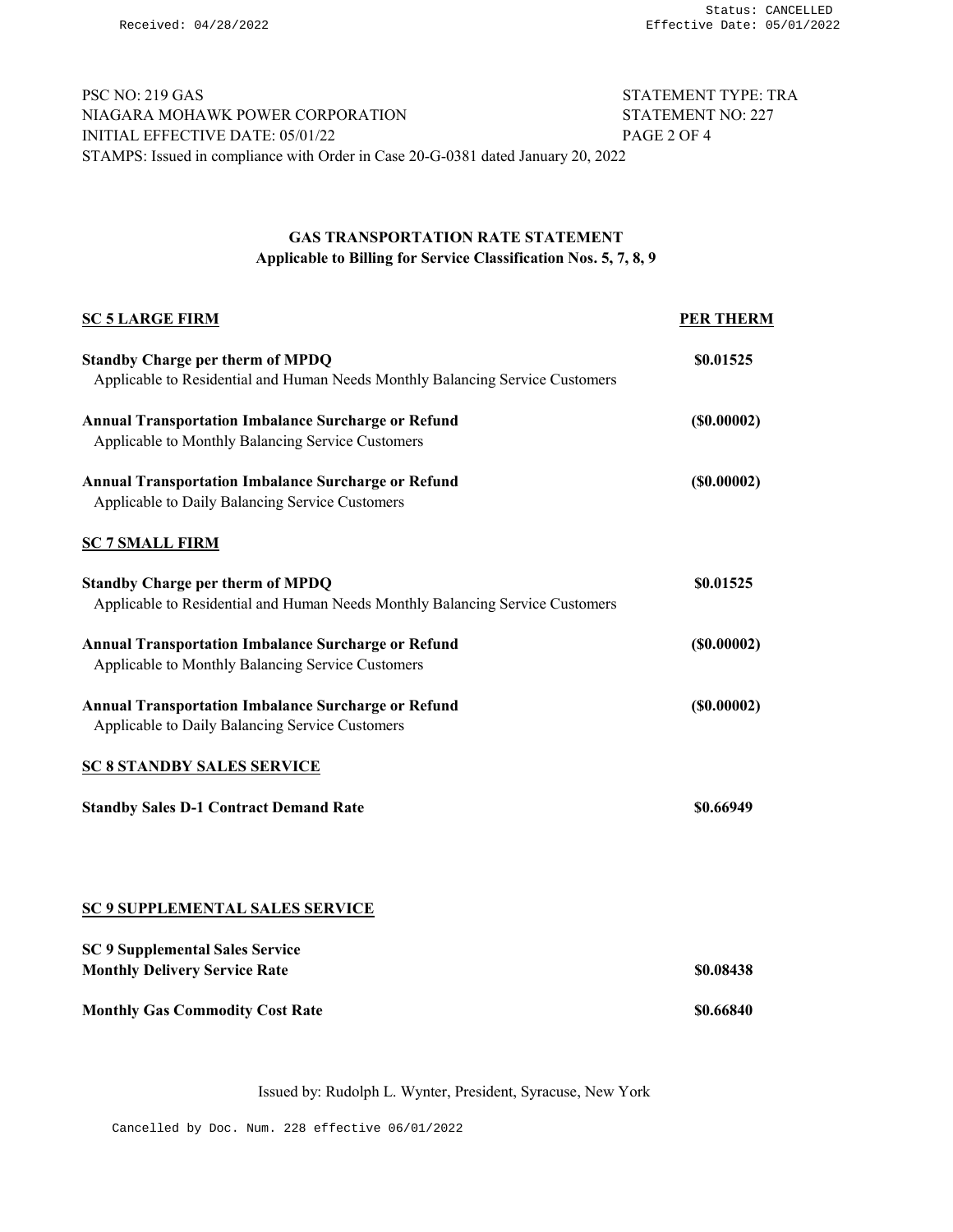PSC NO: 219 GAS STATEMENT TYPE: TRA NIAGARA MOHAWK POWER CORPORATION STATEMENT NO: 227 INITIAL EFFECTIVE DATE: 05/01/22 PAGE 2 OF 4 STAMPS: Issued in compliance with Order in Case 20-G-0381 dated January 20, 2022

### GAS TRANSPORTATION RATE STATEMENT Applicable to Billing for Service Classification Nos. 5, 7, 8, 9

| <b>SC 5 LARGE FIRM</b>                                                                                                   | <b>PER THERM</b> |
|--------------------------------------------------------------------------------------------------------------------------|------------------|
| <b>Standby Charge per therm of MPDQ</b><br>Applicable to Residential and Human Needs Monthly Balancing Service Customers | \$0.01525        |
| <b>Annual Transportation Imbalance Surcharge or Refund</b><br>Applicable to Monthly Balancing Service Customers          | (S0.00002)       |
| <b>Annual Transportation Imbalance Surcharge or Refund</b><br>Applicable to Daily Balancing Service Customers            | (S0.00002)       |
| <b>SC 7 SMALL FIRM</b>                                                                                                   |                  |
| <b>Standby Charge per therm of MPDQ</b><br>Applicable to Residential and Human Needs Monthly Balancing Service Customers | \$0.01525        |
| <b>Annual Transportation Imbalance Surcharge or Refund</b><br>Applicable to Monthly Balancing Service Customers          | (S0.00002)       |
| <b>Annual Transportation Imbalance Surcharge or Refund</b><br>Applicable to Daily Balancing Service Customers            | (S0.00002)       |
| <b>SC 8 STANDBY SALES SERVICE</b>                                                                                        |                  |
| <b>Standby Sales D-1 Contract Demand Rate</b>                                                                            | \$0.66949        |
|                                                                                                                          |                  |
| <b>SC 9 SUPPLEMENTAL SALES SERVICE</b>                                                                                   |                  |
| <b>SC 9 Supplemental Sales Service</b><br><b>Monthly Delivery Service Rate</b>                                           | \$0.08438        |
| <b>Monthly Gas Commodity Cost Rate</b>                                                                                   | \$0.66840        |

Issued by: Rudolph L. Wynter, President, Syracuse, New York

Cancelled by Doc. Num. 228 effective 06/01/2022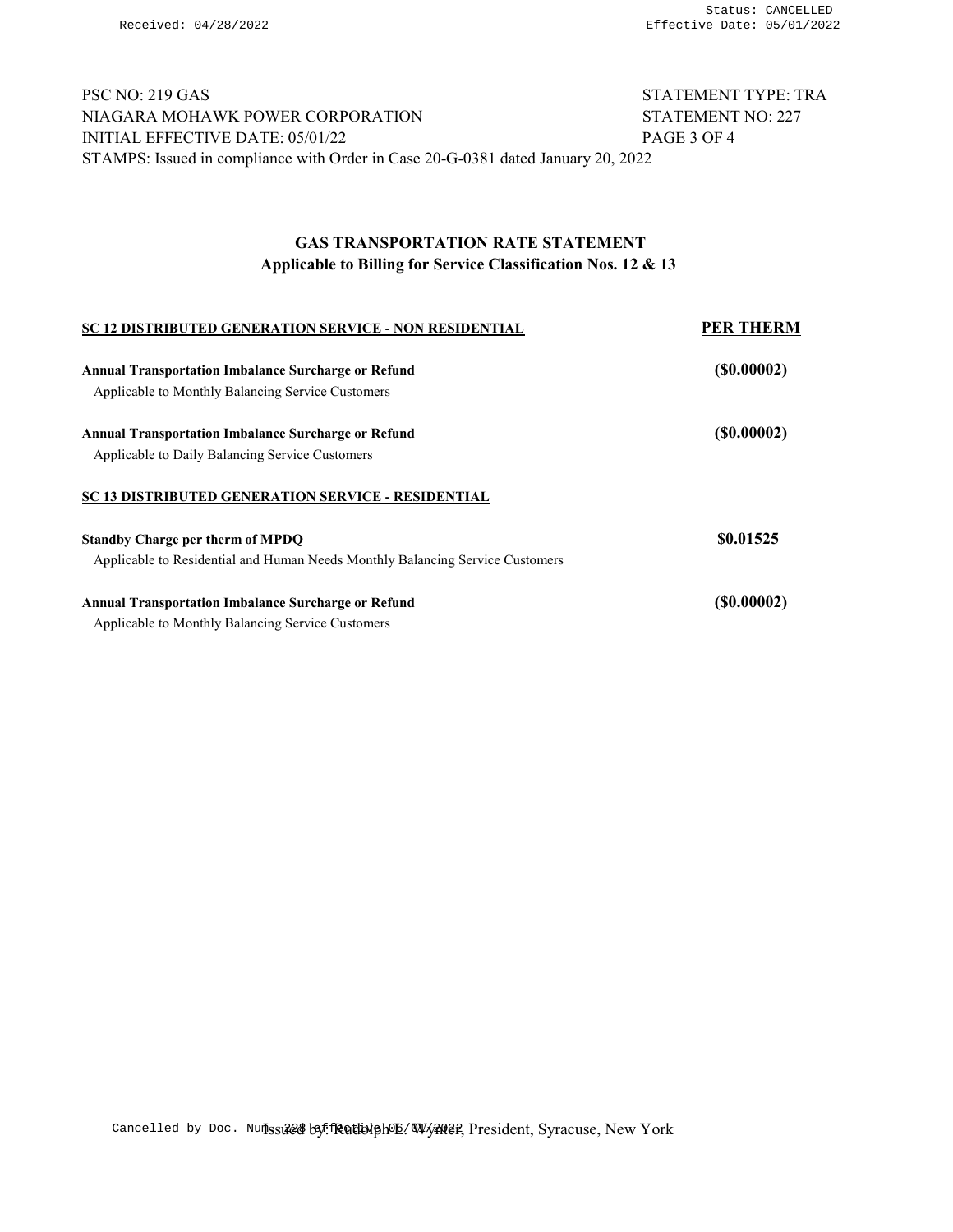# PSC NO: 219 GAS STATEMENT TYPE: TRA NIAGARA MOHAWK POWER CORPORATION STATEMENT NO: 227 INITIAL EFFECTIVE DATE: 05/01/22 PAGE 3 OF 4 STAMPS: Issued in compliance with Order in Case 20-G-0381 dated January 20, 2022

# GAS TRANSPORTATION RATE STATEMENT Applicable to Billing for Service Classification Nos. 12 & 13

| <b>SC 12 DISTRIBUTED GENERATION SERVICE - NON RESIDENTIAL</b>                 | <b>PER THERM</b> |
|-------------------------------------------------------------------------------|------------------|
| <b>Annual Transportation Imbalance Surcharge or Refund</b>                    | (S0.00002)       |
| Applicable to Monthly Balancing Service Customers                             |                  |
| <b>Annual Transportation Imbalance Surcharge or Refund</b>                    | (S0.00002)       |
| Applicable to Daily Balancing Service Customers                               |                  |
| <b>SC 13 DISTRIBUTED GENERATION SERVICE - RESIDENTIAL</b>                     |                  |
| <b>Standby Charge per therm of MPDQ</b>                                       | \$0.01525        |
| Applicable to Residential and Human Needs Monthly Balancing Service Customers |                  |
| <b>Annual Transportation Imbalance Surcharge or Refund</b>                    | (S0.00002)       |
| Applicable to Monthly Balancing Service Customers                             |                  |